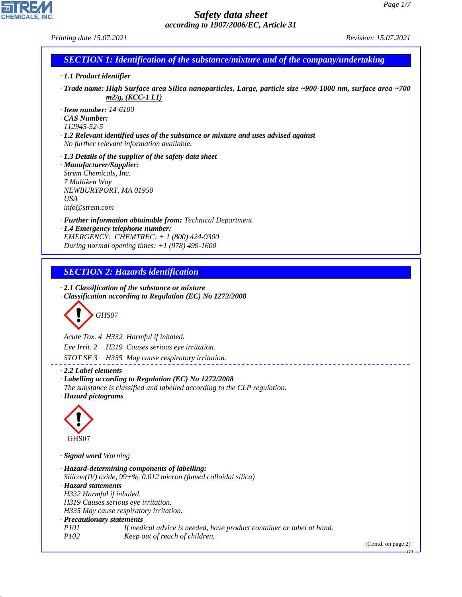| Printing date 15.07.2021                                                                                                                                                                                                                                                                                                                                                                                                                                       | Revision: 15.07.2021         |
|----------------------------------------------------------------------------------------------------------------------------------------------------------------------------------------------------------------------------------------------------------------------------------------------------------------------------------------------------------------------------------------------------------------------------------------------------------------|------------------------------|
| <b>SECTION 1: Identification of the substance/mixture and of the company/undertaking</b>                                                                                                                                                                                                                                                                                                                                                                       |                              |
| · 1.1 Product identifier                                                                                                                                                                                                                                                                                                                                                                                                                                       |                              |
| Trade name: High Surface area Silica nanoparticles, Large, particle size ~900-1000 nm, surface area ~700 ·<br>$m2/g$ , (KCC-1 L1)                                                                                                                                                                                                                                                                                                                              |                              |
| $\cdot$ Item number: 14-6100<br>CAS Number:<br>112945-52-5<br>$\cdot$ 1.2 Relevant identified uses of the substance or mixture and uses advised against<br>No further relevant information available.                                                                                                                                                                                                                                                          |                              |
| $\cdot$ 1.3 Details of the supplier of the safety data sheet<br>· Manufacturer/Supplier:<br>Strem Chemicals, Inc.<br>7 Mulliken Way<br>NEWBURYPORT, MA 01950<br><b>USA</b><br>info@strem.com                                                                                                                                                                                                                                                                   |                              |
| · Further information obtainable from: Technical Department<br>· 1.4 Emergency telephone number:<br>EMERGENCY: CHEMTREC: + 1 (800) 424-9300<br>During normal opening times: $+1$ (978) 499-1600                                                                                                                                                                                                                                                                |                              |
| <b>SECTION 2: Hazards identification</b>                                                                                                                                                                                                                                                                                                                                                                                                                       |                              |
| $\cdot$ 2.1 Classification of the substance or mixture<br>· Classification according to Regulation (EC) No 1272/2008<br>GHS07<br>Acute Tox. 4 H332 Harmful if inhaled.<br>Eye Irrit. 2 H319 Causes serious eye irritation.<br>STOT SE 3 H335 May cause respiratory irritation.                                                                                                                                                                                 |                              |
| 2.2 Label elements<br>· Labelling according to Regulation (EC) No 1272/2008<br>The substance is classified and labelled according to the CLP regulation.<br>· Hazard pictograms<br>GHS07                                                                                                                                                                                                                                                                       |                              |
|                                                                                                                                                                                                                                                                                                                                                                                                                                                                |                              |
| · Signal word Warning<br>· Hazard-determining components of labelling:<br>Silicon(IV) oxide, $99 + \%$ , 0.012 micron (fumed colloidal silica)<br>· Hazard statements<br>H332 Harmful if inhaled.<br>H319 Causes serious eye irritation.<br>H335 May cause respiratory irritation.<br>· Precautionary statements<br><i>P101</i><br>If medical advice is needed, have product container or label at hand.<br>P <sub>102</sub><br>Keep out of reach of children. |                              |
|                                                                                                                                                                                                                                                                                                                                                                                                                                                                | (Contd. on page 2)<br>$GB -$ |
|                                                                                                                                                                                                                                                                                                                                                                                                                                                                |                              |

44.1.1

**EDIREAL**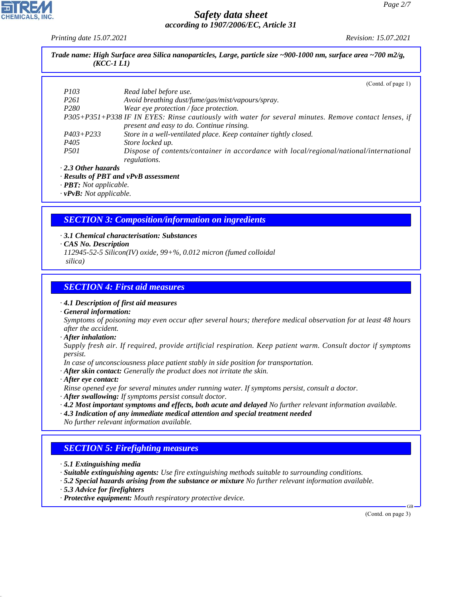*Printing date 15.07.2021 Revision: 15.07.2021*

| Trade name: High Surface area Silica nanoparticles, Large, particle size ~900-1000 nm, surface area ~700 m2/g,<br>$(KCC-1LI)$ |
|-------------------------------------------------------------------------------------------------------------------------------|
|                                                                                                                               |

|                           | (Contd. of page 1)                                                                                    |
|---------------------------|-------------------------------------------------------------------------------------------------------|
| <i>P103</i>               | Read label before use.                                                                                |
| P <sub>261</sub>          | Avoid breathing dust/fume/gas/mist/vapours/spray.                                                     |
| P <sub>280</sub>          | Wear eye protection / face protection.                                                                |
|                           | P305+P351+P338 IF IN EYES: Rinse cautiously with water for several minutes. Remove contact lenses, if |
|                           | present and easy to do. Continue rinsing.                                                             |
| $P403 + P233$             | Store in a well-ventilated place. Keep container tightly closed.                                      |
| P <sub>405</sub>          | Store locked up.                                                                                      |
| <i>P501</i>               | Dispose of contents/container in accordance with local/regional/national/international                |
|                           | regulations.                                                                                          |
| $\cdot$ 2.3 Other hazards |                                                                                                       |
|                           |                                                                                                       |

*· Results of PBT and vPvB assessment*

*· PBT: Not applicable.*

*· vPvB: Not applicable.*

# *SECTION 3: Composition/information on ingredients*

- *· 3.1 Chemical characterisation: Substances*
- *· CAS No. Description*
- *112945-52-5 Silicon(IV) oxide, 99+%, 0.012 micron (fumed colloidal*
- *silica)*

#### *SECTION 4: First aid measures*

*· 4.1 Description of first aid measures*

*· General information:*

*Symptoms of poisoning may even occur after several hours; therefore medical observation for at least 48 hours after the accident.*

*· After inhalation:*

*Supply fresh air. If required, provide artificial respiration. Keep patient warm. Consult doctor if symptoms persist.*

- *In case of unconsciousness place patient stably in side position for transportation.*
- *· After skin contact: Generally the product does not irritate the skin.*
- *· After eye contact:*
- *Rinse opened eye for several minutes under running water. If symptoms persist, consult a doctor.*
- *· After swallowing: If symptoms persist consult doctor.*
- *· 4.2 Most important symptoms and effects, both acute and delayed No further relevant information available.*
- *· 4.3 Indication of any immediate medical attention and special treatment needed No further relevant information available.*

# *SECTION 5: Firefighting measures*

- *· 5.1 Extinguishing media*
- *· Suitable extinguishing agents: Use fire extinguishing methods suitable to surrounding conditions.*
- *· 5.2 Special hazards arising from the substance or mixture No further relevant information available.*
- *· 5.3 Advice for firefighters*

44.1.1

*· Protective equipment: Mouth respiratory protective device.*

(Contd. on page 3)

GB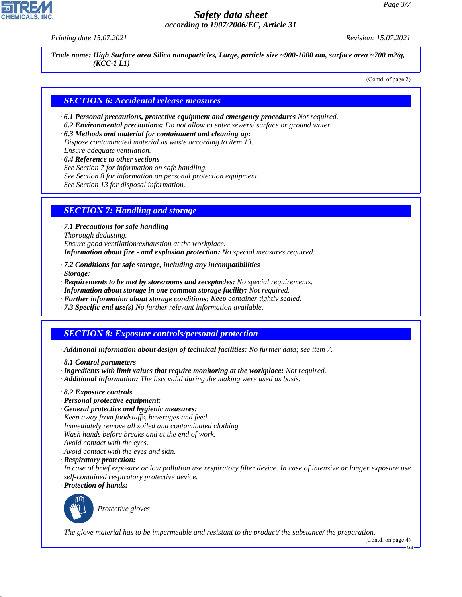

*Printing date 15.07.2021 Revision: 15.07.2021*

*Trade name: High Surface area Silica nanoparticles, Large, particle size ~900-1000 nm, surface area ~700 m2/g, (KCC-1 L1)*

(Contd. of page 2)

#### *SECTION 6: Accidental release measures*

- *· 6.1 Personal precautions, protective equipment and emergency procedures Not required.*
- *· 6.2 Environmental precautions: Do not allow to enter sewers/ surface or ground water.*
- *· 6.3 Methods and material for containment and cleaning up: Dispose contaminated material as waste according to item 13. Ensure adequate ventilation.*
- *· 6.4 Reference to other sections*
- *See Section 7 for information on safe handling.*
- *See Section 8 for information on personal protection equipment.*
- *See Section 13 for disposal information.*

#### *SECTION 7: Handling and storage*

*· 7.1 Precautions for safe handling*

*Thorough dedusting.*

*Ensure good ventilation/exhaustion at the workplace.*

- *· Information about fire and explosion protection: No special measures required.*
- *· 7.2 Conditions for safe storage, including any incompatibilities*
- *· Storage:*
- *· Requirements to be met by storerooms and receptacles: No special requirements.*
- *· Information about storage in one common storage facility: Not required.*
- *· Further information about storage conditions: Keep container tightly sealed.*
- *· 7.3 Specific end use(s) No further relevant information available.*

#### *SECTION 8: Exposure controls/personal protection*

- *· Additional information about design of technical facilities: No further data; see item 7.*
- *· 8.1 Control parameters*
- *· Ingredients with limit values that require monitoring at the workplace: Not required.*
- *· Additional information: The lists valid during the making were used as basis.*

#### *· 8.2 Exposure controls*

- *· Personal protective equipment:*
- *· General protective and hygienic measures:*

*Keep away from foodstuffs, beverages and feed.*

- *Immediately remove all soiled and contaminated clothing*
- *Wash hands before breaks and at the end of work.*
- *Avoid contact with the eyes.*

*Avoid contact with the eyes and skin.*

*· Respiratory protection:*

*In case of brief exposure or low pollution use respiratory filter device. In case of intensive or longer exposure use self-contained respiratory protective device.*

*· Protection of hands:*



44.1.1

\_S*Protective gloves*

*The glove material has to be impermeable and resistant to the product/ the substance/ the preparation.*

(Contd. on page 4)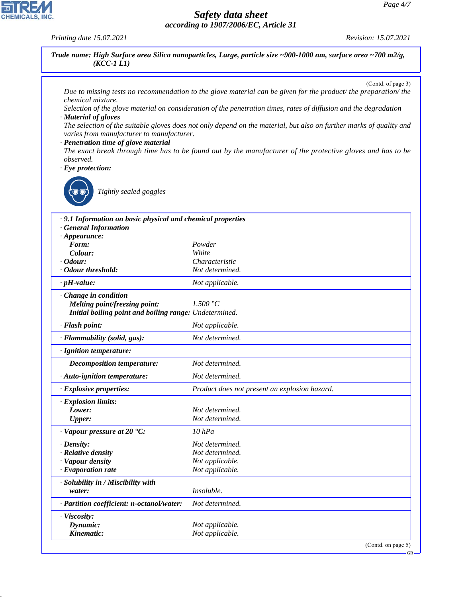*Printing date 15.07.2021 Revision: 15.07.2021*

CHEMICALS, INC.

44.1.1

|                                                            | (Contd. of page 3)                                                                                                  |
|------------------------------------------------------------|---------------------------------------------------------------------------------------------------------------------|
| chemical mixture.                                          | Due to missing tests no recommendation to the glove material can be given for the product/ the preparation/ the     |
|                                                            | Selection of the glove material on consideration of the penetration times, rates of diffusion and the degradation   |
| · Material of gloves                                       |                                                                                                                     |
| varies from manufacturer to manufacturer.                  | The selection of the suitable gloves does not only depend on the material, but also on further marks of quality and |
| · Penetration time of glove material                       |                                                                                                                     |
|                                                            | The exact break through time has to be found out by the manufacturer of the protective gloves and has to be         |
| observed.                                                  |                                                                                                                     |
| $\cdot$ Eye protection:                                    |                                                                                                                     |
| Tightly sealed goggles                                     |                                                                                                                     |
| .9.1 Information on basic physical and chemical properties |                                                                                                                     |
| <b>General Information</b>                                 |                                                                                                                     |
| $\cdot$ Appearance:                                        |                                                                                                                     |
| Form:<br>Colour:                                           | Powder<br>White                                                                                                     |
| $\cdot$ Odour:                                             | Characteristic                                                                                                      |
| · Odour threshold:                                         | Not determined.                                                                                                     |
| $\cdot$ pH-value:                                          | Not applicable.                                                                                                     |
| · Change in condition                                      |                                                                                                                     |
| Melting point/freezing point:                              | 1.500 °C                                                                                                            |
| Initial boiling point and boiling range: Undetermined.     |                                                                                                                     |
| · Flash point:                                             | Not applicable.                                                                                                     |
| · Flammability (solid, gas):                               | Not determined.                                                                                                     |
| · Ignition temperature:                                    |                                                                                                                     |
| <b>Decomposition temperature:</b>                          | Not determined.                                                                                                     |
| · Auto-ignition temperature:                               | Not determined.                                                                                                     |
| <b>Explosive properties:</b>                               | Product does not present an explosion hazard.                                                                       |
| · Explosion limits:                                        |                                                                                                                     |
| Lower:                                                     | Not determined.                                                                                                     |
| <b>Upper:</b>                                              | Not determined.                                                                                                     |
| $\cdot$ Vapour pressure at 20 $\textdegree$ C:             | $10$ $hPa$                                                                                                          |
| $\cdot$ Density:                                           | Not determined.                                                                                                     |
| · Relative density                                         | Not determined.                                                                                                     |
| · Vapour density<br>$\cdot$ Evaporation rate               | Not applicable.<br>Not applicable.                                                                                  |
|                                                            |                                                                                                                     |
| · Solubility in / Miscibility with<br>water:               | Insoluble.                                                                                                          |
| · Partition coefficient: n-octanol/water:                  | Not determined.                                                                                                     |
| · Viscosity:                                               |                                                                                                                     |
| Dynamic:                                                   | Not applicable.                                                                                                     |
|                                                            |                                                                                                                     |

 $-GB$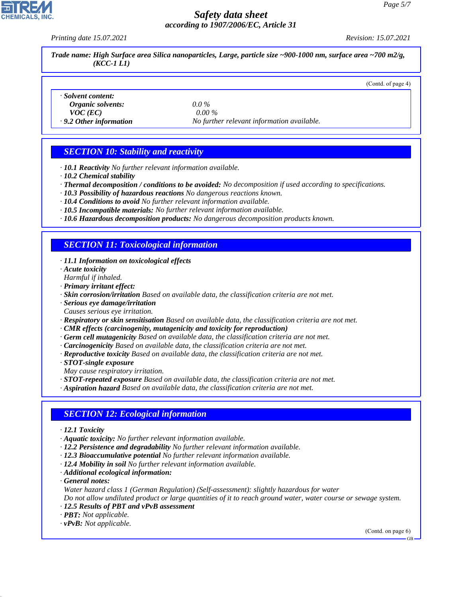*Printing date 15.07.2021 Revision: 15.07.2021*

(Contd. of page 4)

*Trade name: High Surface area Silica nanoparticles, Large, particle size ~900-1000 nm, surface area ~700 m2/g, (KCC-1 L1)*

- *· Solvent content:*
- *Organic solvents: 0.0 % VOC (EC) 0.00 %*

*· 9.2 Other information No further relevant information available.*

# *SECTION 10: Stability and reactivity*

- *· 10.1 Reactivity No further relevant information available.*
- *· 10.2 Chemical stability*
- *· Thermal decomposition / conditions to be avoided: No decomposition if used according to specifications.*
- *· 10.3 Possibility of hazardous reactions No dangerous reactions known.*
- *· 10.4 Conditions to avoid No further relevant information available.*
- *· 10.5 Incompatible materials: No further relevant information available.*
- *· 10.6 Hazardous decomposition products: No dangerous decomposition products known.*

#### *SECTION 11: Toxicological information*

- *· 11.1 Information on toxicological effects*
- *· Acute toxicity*
- *Harmful if inhaled.*
- *· Primary irritant effect:*
- *· Skin corrosion/irritation Based on available data, the classification criteria are not met.*
- *· Serious eye damage/irritation*
- *Causes serious eye irritation.*
- *· Respiratory or skin sensitisation Based on available data, the classification criteria are not met.*
- *· CMR effects (carcinogenity, mutagenicity and toxicity for reproduction)*
- *· Germ cell mutagenicity Based on available data, the classification criteria are not met.*
- *· Carcinogenicity Based on available data, the classification criteria are not met.*
- *· Reproductive toxicity Based on available data, the classification criteria are not met.*
- *· STOT-single exposure*
- *May cause respiratory irritation.*
- *· STOT-repeated exposure Based on available data, the classification criteria are not met.*
- *· Aspiration hazard Based on available data, the classification criteria are not met.*

#### *SECTION 12: Ecological information*

- *· 12.1 Toxicity*
- *· Aquatic toxicity: No further relevant information available.*
- *· 12.2 Persistence and degradability No further relevant information available.*
- *· 12.3 Bioaccumulative potential No further relevant information available.*
- *· 12.4 Mobility in soil No further relevant information available.*
- *· Additional ecological information:*
- *· General notes:*

44.1.1

*Water hazard class 1 (German Regulation) (Self-assessment): slightly hazardous for water*

*Do not allow undiluted product or large quantities of it to reach ground water, water course or sewage system.*

- *· 12.5 Results of PBT and vPvB assessment*
- *· PBT: Not applicable.*
- *· vPvB: Not applicable.*

(Contd. on page 6)

GB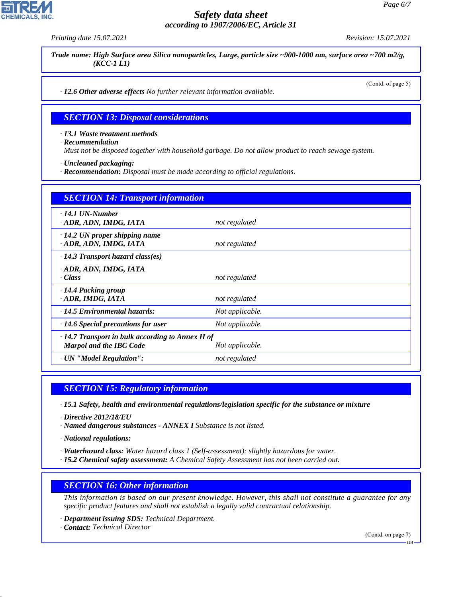*Printing date 15.07.2021 Revision: 15.07.2021*

*Trade name: High Surface area Silica nanoparticles, Large, particle size ~900-1000 nm, surface area ~700 m2/g, (KCC-1 L1)*

(Contd. of page 5)

*· 12.6 Other adverse effects No further relevant information available.*

#### *SECTION 13: Disposal considerations*

*· 13.1 Waste treatment methods*

*· Recommendation*

*Must not be disposed together with household garbage. Do not allow product to reach sewage system.*

*· Uncleaned packaging:*

*· Recommendation: Disposal must be made according to official regulations.*

| <b>SECTION 14: Transport information</b>                                                  |                 |
|-------------------------------------------------------------------------------------------|-----------------|
| $\cdot$ 14.1 UN-Number<br>ADR, ADN, IMDG, IATA                                            | not regulated   |
| $\cdot$ 14.2 UN proper shipping name<br>· ADR, ADN, IMDG, IATA                            | not regulated   |
| $\cdot$ 14.3 Transport hazard class(es)                                                   |                 |
| · ADR, ADN, IMDG, IATA<br>· Class                                                         | not regulated   |
| · 14.4 Packing group<br>· ADR, IMDG, IATA                                                 | not regulated   |
| · 14.5 Environmental hazards:                                                             | Not applicable. |
| $\cdot$ 14.6 Special precautions for user                                                 | Not applicable. |
| $\cdot$ 14.7 Transport in bulk according to Annex II of<br><b>Marpol and the IBC Code</b> | Not applicable. |
| · UN "Model Regulation":                                                                  | not regulated   |

*SECTION 15: Regulatory information*

*· 15.1 Safety, health and environmental regulations/legislation specific for the substance or mixture*

*· Directive 2012/18/EU*

*· Named dangerous substances - ANNEX I Substance is not listed.*

*· National regulations:*

*· Waterhazard class: Water hazard class 1 (Self-assessment): slightly hazardous for water.*

*· 15.2 Chemical safety assessment: A Chemical Safety Assessment has not been carried out.*

#### *SECTION 16: Other information*

*This information is based on our present knowledge. However, this shall not constitute a guarantee for any specific product features and shall not establish a legally valid contractual relationship.*

*· Department issuing SDS: Technical Department.*

*· Contact: Technical Director*

44.1.1

(Contd. on page 7)

GB